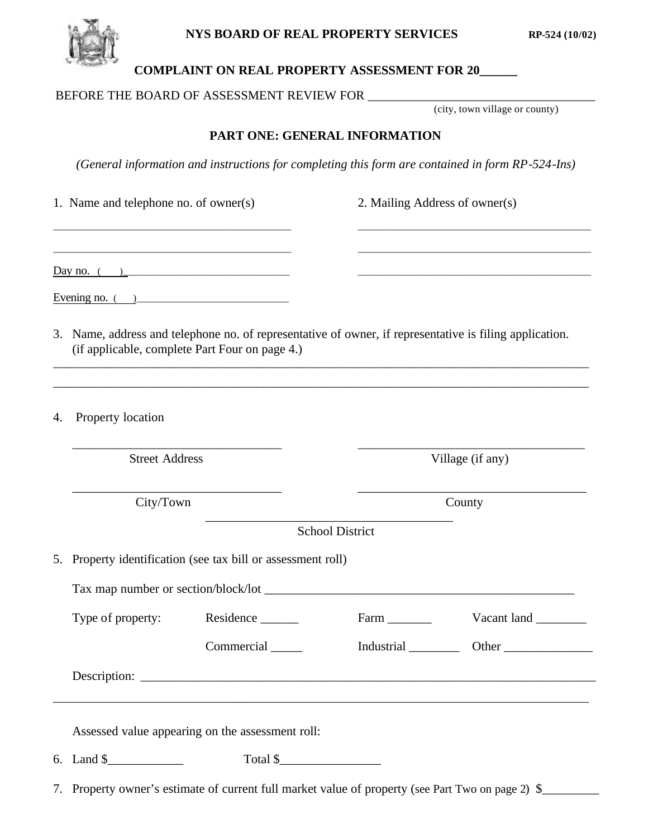



## **COMPLAINT ON REAL PROPERTY ASSESSMENT FOR 20\_\_\_\_\_\_**

#### BEFORE THE BOARD OF ASSESSMENT REVIEW FOR \_\_\_\_\_\_\_\_\_\_\_\_\_\_\_\_\_\_\_\_\_\_\_\_\_\_\_\_\_\_\_\_\_\_\_\_

(city, town village or county)

### **PART ONE: GENERAL INFORMATION**

*(General information and instructions for completing this form are contained in form RP-524-Ins)*

|    | 1. Name and telephone no. of owner(s)                        |                                                                                                                                                           | 2. Mailing Address of owner(s) |                                                                                           |  |  |
|----|--------------------------------------------------------------|-----------------------------------------------------------------------------------------------------------------------------------------------------------|--------------------------------|-------------------------------------------------------------------------------------------|--|--|
|    | Day no. $($                                                  | the control of the control of the control of the control of the control of the control of                                                                 |                                | the control of the control of the control of the control of the control of the control of |  |  |
|    | Evening no. $($                                              |                                                                                                                                                           |                                |                                                                                           |  |  |
|    |                                                              | 3. Name, address and telephone no. of representative of owner, if representative is filing application.<br>(if applicable, complete Part Four on page 4.) |                                | <u> 1989 - Johann Stoff, amerikansk politiker (* 1908)</u>                                |  |  |
| 4. | Property location                                            |                                                                                                                                                           |                                |                                                                                           |  |  |
|    | <b>Street Address</b>                                        |                                                                                                                                                           | Village (if any)               |                                                                                           |  |  |
|    | City/Town                                                    |                                                                                                                                                           | County                         |                                                                                           |  |  |
|    |                                                              |                                                                                                                                                           | <b>School District</b>         |                                                                                           |  |  |
|    | 5. Property identification (see tax bill or assessment roll) |                                                                                                                                                           |                                |                                                                                           |  |  |
|    |                                                              |                                                                                                                                                           |                                |                                                                                           |  |  |
|    | Type of property:                                            | Residence _______                                                                                                                                         |                                | Vacant land                                                                               |  |  |
|    |                                                              | Commercial                                                                                                                                                | Industrial                     | Other                                                                                     |  |  |
|    |                                                              |                                                                                                                                                           |                                |                                                                                           |  |  |
|    |                                                              | Assessed value appearing on the assessment roll:                                                                                                          |                                |                                                                                           |  |  |
|    | 6. Land \$                                                   | Total \$                                                                                                                                                  |                                |                                                                                           |  |  |

7. Property owner's estimate of current full market value of property (see Part Two on page 2) \$\_\_\_\_\_\_\_\_\_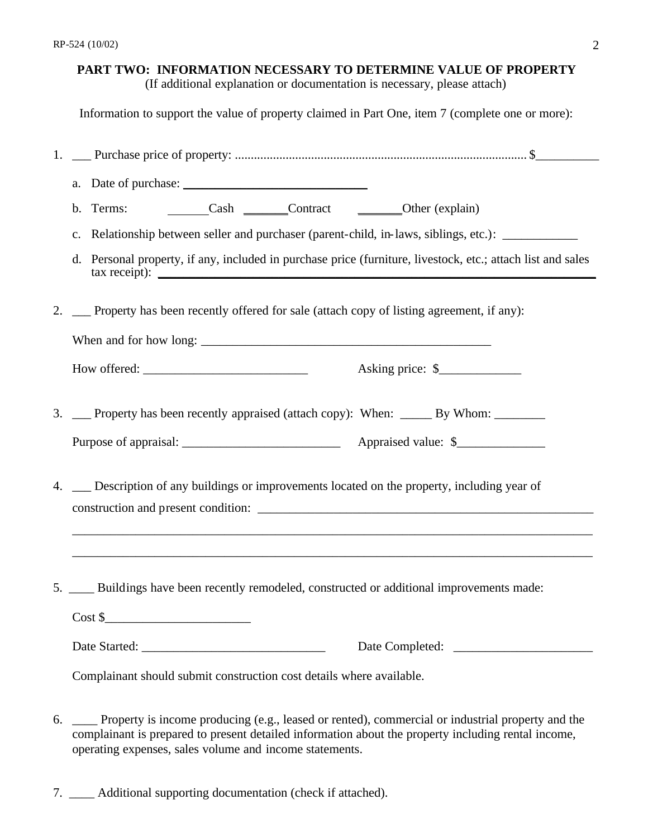### **PART TWO: INFORMATION NECESSARY TO DETERMINE VALUE OF PROPERTY**

(If additional explanation or documentation is necessary, please attach)

Information to support the value of property claimed in Part One, item 7 (complete one or more):

| b. Terms: __________Cash ________Contract _________Other (explain)                                          |  |  |  |  |
|-------------------------------------------------------------------------------------------------------------|--|--|--|--|
| c. Relationship between seller and purchaser (parent-child, in-laws, siblings, etc.): _____________         |  |  |  |  |
| d. Personal property, if any, included in purchase price (furniture, livestock, etc.; attach list and sales |  |  |  |  |
| 2. __ Property has been recently offered for sale (attach copy of listing agreement, if any):               |  |  |  |  |
|                                                                                                             |  |  |  |  |
|                                                                                                             |  |  |  |  |
| 3. __ Property has been recently appraised (attach copy): When: _____ By Whom: ______                       |  |  |  |  |
|                                                                                                             |  |  |  |  |
| 4. _ Description of any buildings or improvements located on the property, including year of                |  |  |  |  |
| 5. ____ Buildings have been recently remodeled, constructed or additional improvements made:<br>$\cosh \xi$ |  |  |  |  |
|                                                                                                             |  |  |  |  |
| Complainant should submit construction cost details where available.                                        |  |  |  |  |

6. \_\_\_\_ Property is income producing (e.g., leased or rented), commercial or industrial property and the complainant is prepared to present detailed information about the property including rental income, operating expenses, sales volume and income statements.

7. \_\_\_\_ Additional supporting documentation (check if attached).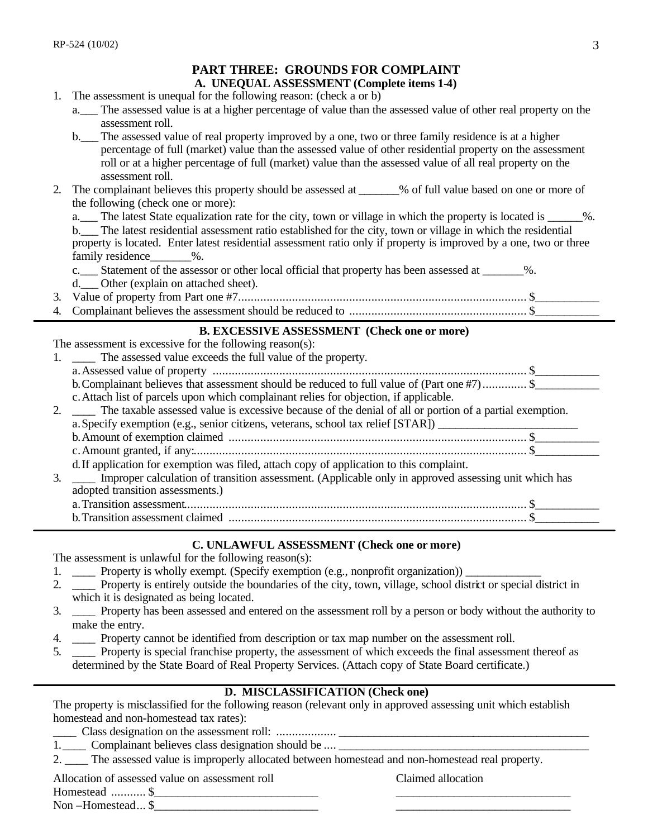|    | м тимее, ммоолоо гол солп еанч                                                                                                                                                                                                                                                                                                                                                |
|----|-------------------------------------------------------------------------------------------------------------------------------------------------------------------------------------------------------------------------------------------------------------------------------------------------------------------------------------------------------------------------------|
|    | A. UNEQUAL ASSESSMENT (Complete items 1-4)                                                                                                                                                                                                                                                                                                                                    |
| 1. | The assessment is unequal for the following reason: (check a or b)                                                                                                                                                                                                                                                                                                            |
|    | a. <sub>__</sub> The assessed value is at a higher percentage of value than the assessed value of other real property on the<br>assessment roll.                                                                                                                                                                                                                              |
|    | b. The assessed value of real property improved by a one, two or three family residence is at a higher<br>percentage of full (market) value than the assessed value of other residential property on the assessment<br>roll or at a higher percentage of full (market) value than the assessed value of all real property on the<br>assessment roll.                          |
| 2. | The complainant believes this property should be assessed at ______% of full value based on one or more of<br>the following (check one or more):                                                                                                                                                                                                                              |
|    | a. The latest State equalization rate for the city, town or village in which the property is located is _____%.<br>b. The latest residential assessment ratio established for the city, town or village in which the residential<br>property is located. Enter latest residential assessment ratio only if property is improved by a one, two or three<br>family residence %. |
|    | c. Statement of the assessor or other local official that property has been assessed at _________%.<br>d. Other (explain on attached sheet).                                                                                                                                                                                                                                  |
| 3. |                                                                                                                                                                                                                                                                                                                                                                               |
| 4. |                                                                                                                                                                                                                                                                                                                                                                               |
|    | <b>B. EXCESSIVE ASSESSMENT (Check one or more)</b>                                                                                                                                                                                                                                                                                                                            |
|    | The assessment is excessive for the following reason(s):                                                                                                                                                                                                                                                                                                                      |
| 1. | The assessed value exceeds the full value of the property.                                                                                                                                                                                                                                                                                                                    |
|    |                                                                                                                                                                                                                                                                                                                                                                               |
|    | b. Complainant believes that assessment should be reduced to full value of (Part one #7) \$                                                                                                                                                                                                                                                                                   |
|    | c. Attach list of parcels upon which complainant relies for objection, if applicable.                                                                                                                                                                                                                                                                                         |
| 2. | The taxable assessed value is excessive because of the denial of all or portion of a partial exemption.                                                                                                                                                                                                                                                                       |
|    | a. Specify exemption (e.g., senior citizens, veterans, school tax relief [STAR]) ___________________                                                                                                                                                                                                                                                                          |
|    |                                                                                                                                                                                                                                                                                                                                                                               |
|    |                                                                                                                                                                                                                                                                                                                                                                               |
|    | d. If application for exemption was filed, attach copy of application to this complaint.                                                                                                                                                                                                                                                                                      |
| 3. | Improper calculation of transition assessment. (Applicable only in approved assessing unit which has                                                                                                                                                                                                                                                                          |
|    | adopted transition assessments.)                                                                                                                                                                                                                                                                                                                                              |
|    |                                                                                                                                                                                                                                                                                                                                                                               |
|    |                                                                                                                                                                                                                                                                                                                                                                               |

**PART THREE: CROUNDS FOR COMPLAINT** 

#### **C. UNLAWFUL ASSESSMENT (Check one or more)**

The assessment is unlawful for the following reason(s):

- 1. \_\_\_\_ Property is wholly exempt. (Specify exemption (e.g., nonprofit organization)) \_
- 2. \_\_\_\_ Property is entirely outside the boundaries of the city, town, village, school district or special district in which it is designated as being located.
- 3. \_\_\_\_ Property has been assessed and entered on the assessment roll by a person or body without the authority to make the entry.
- 4. \_\_\_\_ Property cannot be identified from description or tax map number on the assessment roll.
- 5. \_\_\_\_ Property is special franchise property, the assessment of which exceeds the final assessment thereof as determined by the State Board of Real Property Services. (Attach copy of State Board certificate.)

#### **D. MISCLASSIFICATION (Check one)**

The property is misclassified for the following reason (relevant only in approved assessing unit which establish homestead and non-homestead tax rates):

- \_\_\_\_ Class designation on the assessment roll: ................... \_\_\_\_\_\_\_\_\_\_\_\_\_\_\_\_\_\_\_\_\_\_\_\_\_\_\_\_\_\_\_\_\_\_\_\_\_\_\_\_\_\_\_
- 1. Complainant believes class designation should be .... \_\_\_\_\_\_\_\_\_\_\_\_\_\_\_\_\_\_\_\_\_\_\_

2. \_\_\_\_ The assessed value is improperly allocated between homestead and non-homestead real property.

Allocation of assessed value on assessment roll Claimed allocation

Homestead ............ \$

Non –Homestead... \$